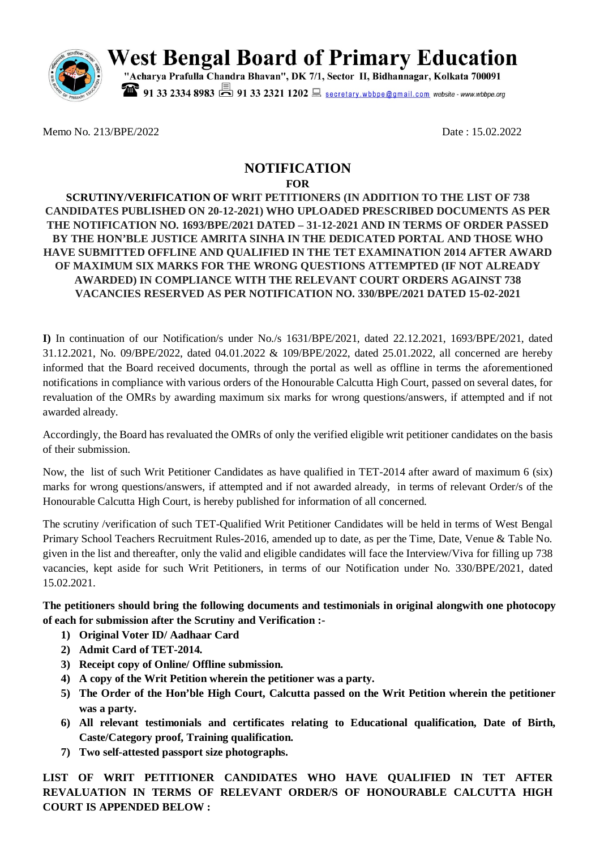

West Bengal Board of Primary Education

91 33 2334 8983 91 33 2321 1202 secretary.wbbpe@gmail.com website - www.wbbpe.org

Memo No. 213/BPE/2022 Date: 15.02.2022

## **NOTIFICATION FOR**

**SCRUTINY/VERIFICATION OF WRIT PETITIONERS (IN ADDITION TO THE LIST OF 738 CANDIDATES PUBLISHED ON 20-12-2021) WHO UPLOADED PRESCRIBED DOCUMENTS AS PER THE NOTIFICATION NO. 1693/BPE/2021 DATED – 31-12-2021 AND IN TERMS OF ORDER PASSED BY THE HON'BLE JUSTICE AMRITA SINHA IN THE DEDICATED PORTAL AND THOSE WHO HAVE SUBMITTED OFFLINE AND QUALIFIED IN THE TET EXAMINATION 2014 AFTER AWARD OF MAXIMUM SIX MARKS FOR THE WRONG QUESTIONS ATTEMPTED (IF NOT ALREADY AWARDED) IN COMPLIANCE WITH THE RELEVANT COURT ORDERS AGAINST 738 VACANCIES RESERVED AS PER NOTIFICATION NO. 330/BPE/2021 DATED 15-02-2021**

**I)** In continuation of our Notification/s under No./s 1631/BPE/2021, dated 22.12.2021, 1693/BPE/2021, dated 31.12.2021, No. 09/BPE/2022, dated 04.01.2022 & 109/BPE/2022, dated 25.01.2022, all concerned are hereby informed that the Board received documents, through the portal as well as offline in terms the aforementioned notifications in compliance with various orders of the Honourable Calcutta High Court, passed on several dates, for revaluation of the OMRs by awarding maximum six marks for wrong questions/answers, if attempted and if not awarded already.

Accordingly, the Board has revaluated the OMRs of only the verified eligible writ petitioner candidates on the basis of their submission.

Now, the list of such Writ Petitioner Candidates as have qualified in TET-2014 after award of maximum 6 (six) marks for wrong questions/answers, if attempted and if not awarded already, in terms of relevant Order/s of the Honourable Calcutta High Court, is hereby published for information of all concerned.

The scrutiny /verification of such TET-Qualified Writ Petitioner Candidates will be held in terms of West Bengal Primary School Teachers Recruitment Rules-2016, amended up to date, as per the Time, Date, Venue & Table No. given in the list and thereafter, only the valid and eligible candidates will face the Interview/Viva for filling up 738 vacancies, kept aside for such Writ Petitioners, in terms of our Notification under No. 330/BPE/2021, dated 15.02.2021.

**The petitioners should bring the following documents and testimonials in original alongwith one photocopy of each for submission after the Scrutiny and Verification :-**

- **1) Original Voter ID/ Aadhaar Card**
- **2) Admit Card of TET-2014.**
- **3) Receipt copy of Online/ Offline submission.**
- **4) A copy of the Writ Petition wherein the petitioner was a party.**
- **5) The Order of the Hon'ble High Court, Calcutta passed on the Writ Petition wherein the petitioner was a party.**
- **6) All relevant testimonials and certificates relating to Educational qualification, Date of Birth, Caste/Category proof, Training qualification.**
- **7) Two self-attested passport size photographs.**

**LIST OF WRIT PETITIONER CANDIDATES WHO HAVE QUALIFIED IN TET AFTER REVALUATION IN TERMS OF RELEVANT ORDER/S OF HONOURABLE CALCUTTA HIGH COURT IS APPENDED BELOW :**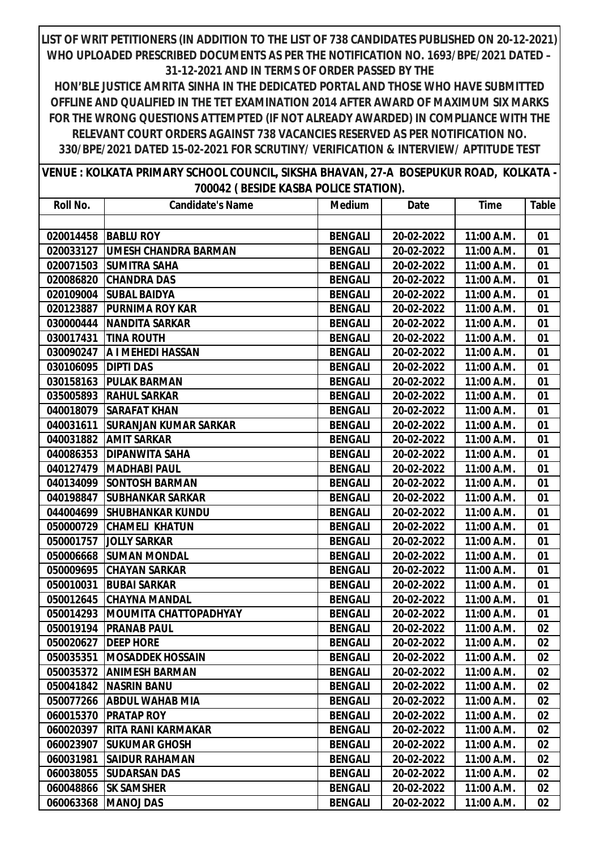| VENUE : KOLKATA PRIMARY SCHOOL COUNCIL, SIKSHA BHAVAN, 27-A BOSEPUKUR ROAD, KOLKATA - |  |
|---------------------------------------------------------------------------------------|--|
| 700042 (BESIDE KASBA POLICE STATION).                                                 |  |

| Roll No.  | <b>Candidate's Name</b>      | <b>Medium</b>  | Date       | <b>Time</b> | Table |
|-----------|------------------------------|----------------|------------|-------------|-------|
|           |                              |                |            |             |       |
| 020014458 | <b>BABLU ROY</b>             | <b>BENGALI</b> | 20-02-2022 | 11:00 A.M.  | 01    |
| 020033127 | <b>UMESH CHANDRA BARMAN</b>  | <b>BENGALI</b> | 20-02-2022 | 11:00 A.M.  | 01    |
| 020071503 | <b>SUMITRA SAHA</b>          | <b>BENGALI</b> | 20-02-2022 | 11:00 A.M.  | 01    |
| 020086820 | <b>CHANDRA DAS</b>           | <b>BENGALI</b> | 20-02-2022 | 11:00 A.M.  | 01    |
| 020109004 | <b>SUBAL BAIDYA</b>          | <b>BENGALI</b> | 20-02-2022 | 11:00 A.M.  | 01    |
| 020123887 | <b>PURNIMA ROY KAR</b>       | <b>BENGALI</b> | 20-02-2022 | 11:00 A.M.  | 01    |
| 030000444 | <b>NANDITA SARKAR</b>        | <b>BENGALI</b> | 20-02-2022 | 11:00 A.M.  | 01    |
| 030017431 | <b>TINA ROUTH</b>            | <b>BENGALI</b> | 20-02-2022 | 11:00 A.M.  | 01    |
| 030090247 | A I MEHEDI HASSAN            | <b>BENGALI</b> | 20-02-2022 | 11:00 A.M.  | 01    |
| 030106095 | <b>DIPTI DAS</b>             | <b>BENGALI</b> | 20-02-2022 | 11:00 A.M.  | 01    |
| 030158163 | <b>PULAK BARMAN</b>          | <b>BENGALI</b> | 20-02-2022 | 11:00 A.M.  | 01    |
| 035005893 | <b>RAHUL SARKAR</b>          | <b>BENGALI</b> | 20-02-2022 | 11:00 A.M.  | 01    |
| 040018079 | <b>SARAFAT KHAN</b>          | <b>BENGALI</b> | 20-02-2022 | 11:00 A.M.  | 01    |
| 040031611 | <b>SURANJAN KUMAR SARKAR</b> | <b>BENGALI</b> | 20-02-2022 | 11:00 A.M.  | 01    |
| 040031882 | <b>AMIT SARKAR</b>           | <b>BENGALI</b> | 20-02-2022 | 11:00 A.M.  | 01    |
| 040086353 | <b>DIPANWITA SAHA</b>        | <b>BENGALI</b> | 20-02-2022 | 11:00 A.M.  | 01    |
| 040127479 | <b>MADHABI PAUL</b>          | <b>BENGALI</b> | 20-02-2022 | 11:00 A.M.  | 01    |
| 040134099 | <b>SONTOSH BARMAN</b>        | <b>BENGALI</b> | 20-02-2022 | 11:00 A.M.  | 01    |
| 040198847 | <b>SUBHANKAR SARKAR</b>      | <b>BENGALI</b> | 20-02-2022 | 11:00 A.M.  | 01    |
| 044004699 | <b>SHUBHANKAR KUNDU</b>      | <b>BENGALI</b> | 20-02-2022 | 11:00 A.M.  | 01    |
| 050000729 | <b>CHAMELI KHATUN</b>        | <b>BENGALI</b> | 20-02-2022 | 11:00 A.M.  | 01    |
| 050001757 | <b>JOLLY SARKAR</b>          | <b>BENGALI</b> | 20-02-2022 | 11:00 A.M.  | 01    |
| 050006668 | <b>SUMAN MONDAL</b>          | <b>BENGALI</b> | 20-02-2022 | 11:00 A.M.  | 01    |
| 050009695 | <b>CHAYAN SARKAR</b>         | <b>BENGALI</b> | 20-02-2022 | 11:00 A.M.  | 01    |
| 050010031 | <b>BUBAI SARKAR</b>          | <b>BENGALI</b> | 20-02-2022 | 11:00 A.M.  | 01    |
| 050012645 | <b>CHAYNA MANDAL</b>         | <b>BENGALI</b> | 20-02-2022 | 11:00 A.M.  | 01    |
| 050014293 | <b>MOUMITA CHATTOPADHYAY</b> | <b>BENGALI</b> | 20-02-2022 | 11:00 A.M.  | 01    |
| 050019194 | <b>PRANAB PAUL</b>           | <b>BENGALI</b> | 20-02-2022 | 11:00 A.M.  | 02    |
| 050020627 | <b>DEEP HORE</b>             | <b>BENGALI</b> | 20-02-2022 | 11:00 A.M.  | 02    |
|           | 050035351  MOSADDEK HOSSAIN  | <b>BENGALI</b> | 20-02-2022 | 11:00 A.M.  | 02    |
| 050035372 | <b>ANIMESH BARMAN</b>        | <b>BENGALI</b> | 20-02-2022 | 11:00 A.M.  | 02    |
| 050041842 | <b>NASRIN BANU</b>           | <b>BENGALI</b> | 20-02-2022 | 11:00 A.M.  | 02    |
| 050077266 | <b>ABDUL WAHAB MIA</b>       | <b>BENGALI</b> | 20-02-2022 | 11:00 A.M.  | 02    |
| 060015370 | <b>PRATAP ROY</b>            | <b>BENGALI</b> | 20-02-2022 | 11:00 A.M.  | 02    |
| 060020397 | <b>RITA RANI KARMAKAR</b>    | <b>BENGALI</b> | 20-02-2022 | 11:00 A.M.  | 02    |
| 060023907 | <b>SUKUMAR GHOSH</b>         | <b>BENGALI</b> | 20-02-2022 | 11:00 A.M.  | 02    |
| 060031981 | <b>SAIDUR RAHAMAN</b>        | <b>BENGALI</b> | 20-02-2022 | 11:00 A.M.  | 02    |
| 060038055 | <b>SUDARSAN DAS</b>          | <b>BENGALI</b> | 20-02-2022 | 11:00 A.M.  | 02    |
| 060048866 | <b>SK SAMSHER</b>            | <b>BENGALI</b> | 20-02-2022 | 11:00 A.M.  | 02    |
| 060063368 | <b>MANOJ DAS</b>             | <b>BENGALI</b> | 20-02-2022 | 11:00 A.M.  | 02    |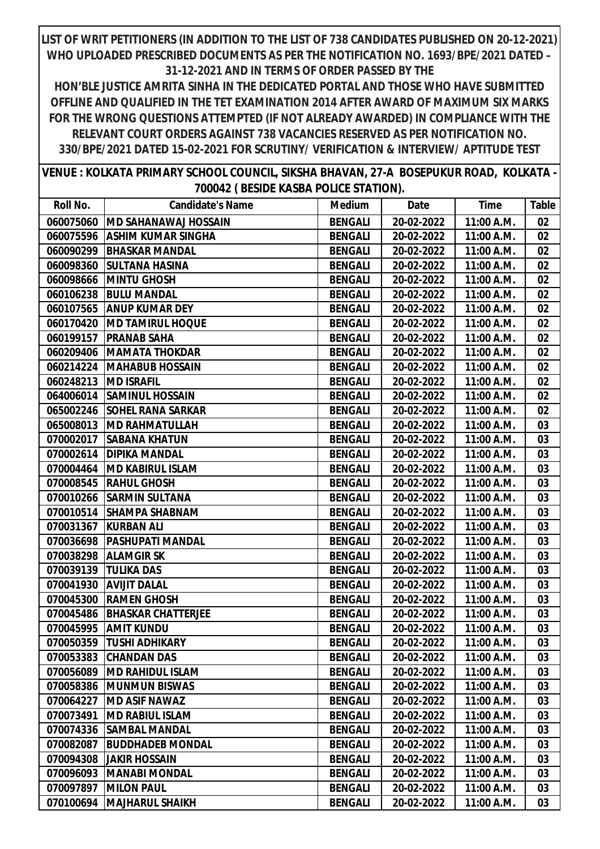| VENUE : KOLKATA PRIMARY SCHOOL COUNCIL, SIKSHA BHAVAN, 27-A BOSEPUKUR ROAD, KOLKATA - |  |  |
|---------------------------------------------------------------------------------------|--|--|
| 700042 (BESIDE KASBA POLICE STATION).                                                 |  |  |

| Roll No.  | <b>Candidate's Name</b>     | <b>Medium</b>  | Date       | <b>Time</b> | Table  |
|-----------|-----------------------------|----------------|------------|-------------|--------|
| 060075060 | <b>MD SAHANAWAJ HOSSAIN</b> | <b>BENGALI</b> | 20-02-2022 | 11:00 A.M.  | $02\,$ |
| 060075596 | ASHIM KUMAR SINGHA          | <b>BENGALI</b> | 20-02-2022 | 11:00 A.M.  | 02     |
| 060090299 | <b>BHASKAR MANDAL</b>       | <b>BENGALI</b> | 20-02-2022 | 11:00 A.M.  | 02     |
| 060098360 | <b>SULTANA HASINA</b>       | <b>BENGALI</b> | 20-02-2022 | 11:00 A.M.  | 02     |
| 060098666 | <b>MINTU GHOSH</b>          | <b>BENGALI</b> | 20-02-2022 | 11:00 A.M.  | 02     |
| 060106238 | <b>BULU MANDAL</b>          | <b>BENGALI</b> | 20-02-2022 | 11:00 A.M.  | 02     |
| 060107565 | <b>ANUP KUMAR DEY</b>       | <b>BENGALI</b> | 20-02-2022 | 11:00 A.M.  | 02     |
| 060170420 | <b>MD TAMIRUL HOQUE</b>     | <b>BENGALI</b> | 20-02-2022 | 11:00 A.M.  | 02     |
|           | 060199157   PRANAB SAHA     | <b>BENGALI</b> | 20-02-2022 | 11:00 A.M.  | 02     |
| 060209406 | <b>MAMATA THOKDAR</b>       | <b>BENGALI</b> | 20-02-2022 | 11:00 A.M.  | 02     |
| 060214224 | <b>MAHABUB HOSSAIN</b>      | <b>BENGALI</b> | 20-02-2022 | 11:00 A.M.  | 02     |
|           | 060248213   MD ISRAFIL      | <b>BENGALI</b> | 20-02-2022 | 11:00 A.M.  | 02     |
|           | 064006014 SAMINUL HOSSAIN   | <b>BENGALI</b> | 20-02-2022 | 11:00 A.M.  | 02     |
| 065002246 | <b>SOHEL RANA SARKAR</b>    | <b>BENGALI</b> | 20-02-2022 | 11:00 A.M.  | 02     |
| 065008013 | <b>MD RAHMATULLAH</b>       | <b>BENGALI</b> | 20-02-2022 | 11:00 A.M.  | 03     |
| 070002017 | <b>SABANA KHATUN</b>        | <b>BENGALI</b> | 20-02-2022 | 11:00 A.M.  | 03     |
|           | 070002614   DIPIKA MANDAL   | <b>BENGALI</b> | 20-02-2022 | 11:00 A.M.  | 03     |
|           | 070004464  MD KABIRUL ISLAM | <b>BENGALI</b> | 20-02-2022 | 11:00 A.M.  | 03     |
| 070008545 | <b>RAHUL GHOSH</b>          | <b>BENGALI</b> | 20-02-2022 | 11:00 A.M.  | 03     |
| 070010266 | <b>SARMIN SULTANA</b>       | <b>BENGALI</b> | 20-02-2022 | 11:00 A.M.  | 03     |
|           | 070010514 SHAMPA SHABNAM    | <b>BENGALI</b> | 20-02-2022 | 11:00 A.M.  | 03     |
|           | 070031367 KURBAN ALI        | <b>BENGALI</b> | 20-02-2022 | 11:00 A.M.  | 03     |
| 070036698 | PASHUPATI MANDAL            | <b>BENGALI</b> | 20-02-2022 | 11:00 A.M.  | 03     |
| 070038298 | <b>ALAMGIR SK</b>           | <b>BENGALI</b> | 20-02-2022 | 11:00 A.M.  | 03     |
| 070039139 | <b>TULIKA DAS</b>           | <b>BENGALI</b> | 20-02-2022 | 11:00 A.M.  | 03     |
| 070041930 | <b>AVIJIT DALAL</b>         | <b>BENGALI</b> | 20-02-2022 | 11:00 A.M.  | 03     |
| 070045300 | <b>RAMEN GHOSH</b>          | <b>BENGALI</b> | 20-02-2022 | 11:00 A.M.  | 03     |
| 070045486 | <b>BHASKAR CHATTERJEE</b>   | <b>BENGALI</b> | 20-02-2022 | 11:00 A.M.  | 03     |
| 070045995 | <b>AMIT KUNDU</b>           | <b>BENGALI</b> | 20-02-2022 | 11:00 A.M.  | 03     |
|           | 070050359  TUSHI ADHIKARY   | <b>BENGALI</b> | 20-02-2022 | 11:00 A.M.  | 03     |
|           | 070053383 CHANDAN DAS       | <b>BENGALI</b> | 20-02-2022 | 11:00 A.M.  | 03     |
| 070056089 | <b>MD RAHIDUL ISLAM</b>     | <b>BENGALI</b> | 20-02-2022 | 11:00 A.M.  | 03     |
| 070058386 | <b>MUNMUN BISWAS</b>        | <b>BENGALI</b> | 20-02-2022 | 11:00 A.M.  | 03     |
| 070064227 | <b>MD ASIF NAWAZ</b>        | <b>BENGALI</b> | 20-02-2022 | 11:00 A.M.  | 03     |
| 070073491 | <b>MD RABIUL ISLAM</b>      | <b>BENGALI</b> | 20-02-2022 | 11:00 A.M.  | 03     |
| 070074336 | <b>SAMBAL MANDAL</b>        | <b>BENGALI</b> | 20-02-2022 | 11:00 A.M.  | 03     |
| 070082087 | <b>BUDDHADEB MONDAL</b>     | <b>BENGALI</b> | 20-02-2022 | 11:00 A.M.  | 03     |
| 070094308 | <b>JAKIR HOSSAIN</b>        | <b>BENGALI</b> | 20-02-2022 | 11:00 A.M.  | 03     |
| 070096093 | <b>MANABI MONDAL</b>        | <b>BENGALI</b> | 20-02-2022 | 11:00 A.M.  | 03     |
| 070097897 | <b>MILON PAUL</b>           | <b>BENGALI</b> | 20-02-2022 | 11:00 A.M.  | 03     |
| 070100694 | <b>MAJHARUL SHAIKH</b>      | <b>BENGALI</b> | 20-02-2022 | 11:00 A.M.  | 03     |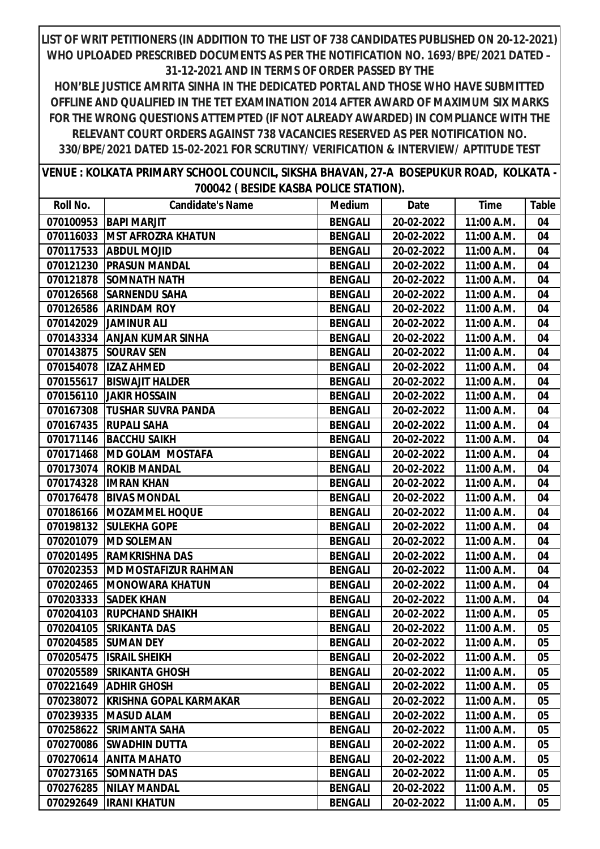| VENUE : KOLKATA PRIMARY SCHOOL COUNCIL, SIKSHA BHAVAN, 27-A BOSEPUKUR ROAD, KOLKATA - |                                       |  |
|---------------------------------------------------------------------------------------|---------------------------------------|--|
|                                                                                       | 700042 (BESIDE KASBA POLICE STATION). |  |

| Roll No.  | <b>Candidate's Name</b>       | <b>Medium</b>  | Date       | <b>Time</b> | Table |
|-----------|-------------------------------|----------------|------------|-------------|-------|
| 070100953 | <b>BAPI MARJIT</b>            | <b>BENGALI</b> | 20-02-2022 | 11:00 A.M.  | 04    |
| 070116033 | <b>IMST AFROZRA KHATUN</b>    | <b>BENGALI</b> | 20-02-2022 | 11:00 A.M.  | 04    |
| 070117533 | <b>ABDUL MOJID</b>            | <b>BENGALI</b> | 20-02-2022 | 11:00 A.M.  | 04    |
| 070121230 | <b>PRASUN MANDAL</b>          | <b>BENGALI</b> | 20-02-2022 | 11:00 A.M.  | 04    |
| 070121878 | <b>SOMNATH NATH</b>           | <b>BENGALI</b> | 20-02-2022 | 11:00 A.M.  | 04    |
| 070126568 | <b>SARNENDU SAHA</b>          | <b>BENGALI</b> | 20-02-2022 | 11:00 A.M.  | 04    |
| 070126586 | <b>ARINDAM ROY</b>            | <b>BENGALI</b> | 20-02-2022 | 11:00 A.M.  | 04    |
| 070142029 | <b>JAMINUR ALI</b>            | <b>BENGALI</b> | 20-02-2022 | 11:00 A.M.  | 04    |
|           | 070143334 ANJAN KUMAR SINHA   | <b>BENGALI</b> | 20-02-2022 | 11:00 A.M.  | 04    |
| 070143875 | <b>SOURAV SEN</b>             | <b>BENGALI</b> | 20-02-2022 | 11:00 A.M.  | 04    |
| 070154078 | <b>IZAZ AHMED</b>             | <b>BENGALI</b> | 20-02-2022 | 11:00 A.M.  | 04    |
| 070155617 | <b>BISWAJIT HALDER</b>        | <b>BENGALI</b> | 20-02-2022 | 11:00 A.M.  | 04    |
| 070156110 | <b>JAKIR HOSSAIN</b>          | <b>BENGALI</b> | 20-02-2022 | 11:00 A.M.  | 04    |
| 070167308 | <b>TUSHAR SUVRA PANDA</b>     | <b>BENGALI</b> | 20-02-2022 | 11:00 A.M.  | 04    |
| 070167435 | <b>RUPALI SAHA</b>            | <b>BENGALI</b> | 20-02-2022 | 11:00 A.M.  | 04    |
| 070171146 | <b>BACCHU SAIKH</b>           | <b>BENGALI</b> | 20-02-2022 | 11:00 A.M.  | 04    |
| 070171468 | <b>IMD GOLAM MOSTAFA</b>      | <b>BENGALI</b> | 20-02-2022 | 11:00 A.M.  | 04    |
| 070173074 | <b>ROKIB MANDAL</b>           | <b>BENGALI</b> | 20-02-2022 | 11:00 A.M.  | 04    |
|           | 070174328  IMRAN KHAN         | <b>BENGALI</b> | 20-02-2022 | 11:00 A.M.  | 04    |
| 070176478 | <b>BIVAS MONDAL</b>           | <b>BENGALI</b> | 20-02-2022 | 11:00 A.M.  | 04    |
| 070186166 | <b>MOZAMMEL HOQUE</b>         | <b>BENGALI</b> | 20-02-2022 | 11:00 A.M.  | 04    |
| 070198132 | <b>SULEKHA GOPE</b>           | <b>BENGALI</b> | 20-02-2022 | 11:00 A.M.  | 04    |
| 070201079 | <b>MD SOLEMAN</b>             | <b>BENGALI</b> | 20-02-2022 | 11:00 A.M.  | 04    |
| 070201495 | <b>RAMKRISHNA DAS</b>         | <b>BENGALI</b> | 20-02-2022 | 11:00 A.M.  | 04    |
| 070202353 | <b>MD MOSTAFIZUR RAHMAN</b>   | <b>BENGALI</b> | 20-02-2022 | 11:00 A.M.  | 04    |
| 070202465 | <b>MONOWARA KHATUN</b>        | <b>BENGALI</b> | 20-02-2022 | 11:00 A.M.  | 04    |
| 070203333 | <b>SADEK KHAN</b>             | <b>BENGALI</b> | 20-02-2022 | 11:00 A.M.  | 04    |
| 070204103 | <b>RUPCHAND SHAIKH</b>        | <b>BENGALI</b> | 20-02-2022 | 11:00 A.M.  | 05    |
| 070204105 | <b>SRIKANTA DAS</b>           | <b>BENGALI</b> | 20-02-2022 | 11:00 A.M.  | 05    |
|           | 070204585 SUMAN DEY           | <b>BENGALI</b> | 20-02-2022 | 11:00 A.M.  | 05    |
| 070205475 | <b>ISRAIL SHEIKH</b>          | <b>BENGALI</b> | 20-02-2022 | 11:00 A.M.  | 05    |
| 070205589 | <b>SRIKANTA GHOSH</b>         | <b>BENGALI</b> | 20-02-2022 | 11:00 A.M.  | 05    |
| 070221649 | <b>ADHIR GHOSH</b>            | <b>BENGALI</b> | 20-02-2022 | 11:00 A.M.  | 05    |
| 070238072 | <b>KRISHNA GOPAL KARMAKAR</b> | <b>BENGALI</b> | 20-02-2022 | 11:00 A.M.  | 05    |
| 070239335 | <b>MASUD ALAM</b>             | <b>BENGALI</b> | 20-02-2022 | 11:00 A.M.  | 05    |
| 070258622 | <b>SRIMANTA SAHA</b>          | <b>BENGALI</b> | 20-02-2022 | 11:00 A.M.  | 05    |
| 070270086 | <b>SWADHIN DUTTA</b>          | <b>BENGALI</b> | 20-02-2022 | 11:00 A.M.  | 05    |
| 070270614 | <b>ANITA MAHATO</b>           | <b>BENGALI</b> | 20-02-2022 | 11:00 A.M.  | 05    |
| 070273165 | <b>SOMNATH DAS</b>            | <b>BENGALI</b> | 20-02-2022 | 11:00 A.M.  | 05    |
| 070276285 | <b>NILAY MANDAL</b>           | <b>BENGALI</b> | 20-02-2022 | 11:00 A.M.  | 05    |
| 070292649 | <b>IRANI KHATUN</b>           | <b>BENGALI</b> | 20-02-2022 | 11:00 A.M.  | 05    |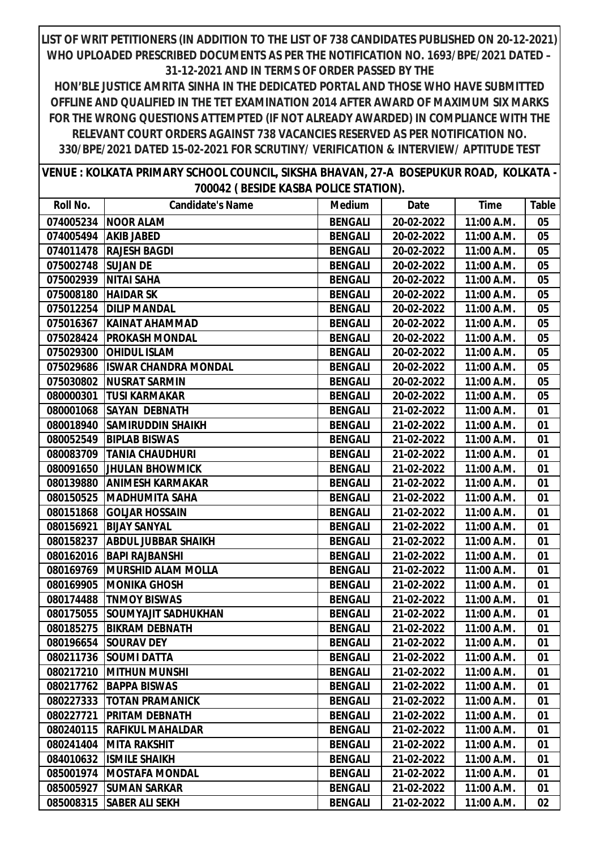**HON'BLE JUSTICE AMRITA SINHA IN THE DEDICATED PORTAL AND THOSE WHO HAVE SUBMITTED OFFLINE AND QUALIFIED IN THE TET EXAMINATION 2014 AFTER AWARD OF MAXIMUM SIX MARKS FOR THE WRONG QUESTIONS ATTEMPTED (IF NOT ALREADY AWARDED) IN COMPLIANCE WITH THE RELEVANT COURT ORDERS AGAINST 738 VACANCIES RESERVED AS PER NOTIFICATION NO. 330/BPE/2021 DATED 15-02-2021 FOR SCRUTINY/ VERIFICATION & INTERVIEW/ APTITUDE TEST**

**VENUE : KOLKATA PRIMARY SCHOOL COUNCIL, SIKSHA BHAVAN, 27-A BOSEPUKUR ROAD, KOLKATA - 700042 ( BESIDE KASBA POLICE STATION).**

| Roll No.  | <b>Candidate's Name</b>     | <b>Medium</b>  | Date       | <b>Time</b> | Table |
|-----------|-----------------------------|----------------|------------|-------------|-------|
| 074005234 | <b>NOOR ALAM</b>            | <b>BENGALI</b> | 20-02-2022 | 11:00 A.M.  | 05    |
| 074005494 | <b>AKIB JABED</b>           | <b>BENGALI</b> | 20-02-2022 | 11:00 A.M.  | 05    |
| 074011478 | <b>RAJESH BAGDI</b>         | <b>BENGALI</b> | 20-02-2022 | 11:00 A.M.  | 05    |
| 075002748 | <b>SUJAN DE</b>             | <b>BENGALI</b> | 20-02-2022 | 11:00 A.M.  | 05    |
| 075002939 | <b>NITAI SAHA</b>           | <b>BENGALI</b> | 20-02-2022 | 11:00 A.M.  | 05    |
| 075008180 | <b>HAIDAR SK</b>            | <b>BENGALI</b> | 20-02-2022 | 11:00 A.M.  | 05    |
| 075012254 | <b>DILIP MANDAL</b>         | <b>BENGALI</b> | 20-02-2022 | 11:00 A.M.  | 05    |
| 075016367 | KAINAT AHAMMAD              | <b>BENGALI</b> | 20-02-2022 | 11:00 A.M.  | 05    |
| 075028424 | <b>PROKASH MONDAL</b>       | <b>BENGALI</b> | 20-02-2022 | 11:00 A.M.  | 05    |
| 075029300 | <b>OHIDUL ISLAM</b>         | <b>BENGALI</b> | 20-02-2022 | 11:00 A.M.  | 05    |
| 075029686 | <b>ISWAR CHANDRA MONDAL</b> | <b>BENGALI</b> | 20-02-2022 | 11:00 A.M.  | 05    |
| 075030802 | <b>NUSRAT SARMIN</b>        | <b>BENGALI</b> | 20-02-2022 | 11:00 A.M.  | 05    |
| 080000301 | <b>TUSI KARMAKAR</b>        | <b>BENGALI</b> | 20-02-2022 | 11:00 A.M.  | 05    |
| 080001068 | <b>SAYAN DEBNATH</b>        | <b>BENGALI</b> | 21-02-2022 | 11:00 A.M.  | 01    |
| 080018940 | <b>SAMIRUDDIN SHAIKH</b>    | <b>BENGALI</b> | 21-02-2022 | 11:00 A.M.  | 01    |
| 080052549 | <b>BIPLAB BISWAS</b>        | <b>BENGALI</b> | 21-02-2022 | 11:00 A.M.  | 01    |
| 080083709 | <b>TANIA CHAUDHURI</b>      | <b>BENGALI</b> | 21-02-2022 | 11:00 A.M.  | 01    |
| 080091650 | <b>JHULAN BHOWMICK</b>      | <b>BENGALI</b> | 21-02-2022 | 11:00 A.M.  | 01    |
| 080139880 | <b>ANIMESH KARMAKAR</b>     | <b>BENGALI</b> | 21-02-2022 | 11:00 A.M.  | 01    |
| 080150525 | <b>MADHUMITA SAHA</b>       | <b>BENGALI</b> | 21-02-2022 | 11:00 A.M.  | 01    |
| 080151868 | <b>GOLJAR HOSSAIN</b>       | <b>BENGALI</b> | 21-02-2022 | 11:00 A.M.  | 01    |
| 080156921 | <b>BIJAY SANYAL</b>         | <b>BENGALI</b> | 21-02-2022 | 11:00 A.M.  | 01    |
| 080158237 | <b>ABDUL JUBBAR SHAIKH</b>  | <b>BENGALI</b> | 21-02-2022 | 11:00 A.M.  | 01    |
| 080162016 | <b>BAPI RAJBANSHI</b>       | <b>BENGALI</b> | 21-02-2022 | 11:00 A.M.  | 01    |
| 080169769 | <b>MURSHID ALAM MOLLA</b>   | <b>BENGALI</b> | 21-02-2022 | 11:00 A.M.  | 01    |
| 080169905 | <b>MONIKA GHOSH</b>         | <b>BENGALI</b> | 21-02-2022 | 11:00 A.M.  | 01    |
| 080174488 | <b>TNMOY BISWAS</b>         | <b>BENGALI</b> | 21-02-2022 | 11:00 A.M.  | 01    |
| 080175055 | <b>SOUMYAJIT SADHUKHAN</b>  | <b>BENGALI</b> | 21-02-2022 | 11:00 A.M.  | 01    |
| 080185275 | <b>BIKRAM DEBNATH</b>       | <b>BENGALI</b> | 21-02-2022 | 11:00 A.M.  | 01    |
|           | 080196654 SOURAV DEY        | <b>BENGALI</b> | 21-02-2022 | 11:00 A.M.  | 01    |
|           | 080211736   SOUMI DATTA     | <b>BENGALI</b> | 21-02-2022 | 11:00 A.M.  | 01    |
| 080217210 | <b>MITHUN MUNSHI</b>        | <b>BENGALI</b> | 21-02-2022 | 11:00 A.M.  | 01    |
| 080217762 | <b>BAPPA BISWAS</b>         | <b>BENGALI</b> | 21-02-2022 | 11:00 A.M.  | 01    |
| 080227333 | <b>TOTAN PRAMANICK</b>      | <b>BENGALI</b> | 21-02-2022 | 11:00 A.M.  | 01    |
| 080227721 | <b>PRITAM DEBNATH</b>       | <b>BENGALI</b> | 21-02-2022 | 11:00 A.M.  | 01    |
| 080240115 | <b>RAFIKUL MAHALDAR</b>     | <b>BENGALI</b> | 21-02-2022 | 11:00 A.M.  | 01    |
| 080241404 | <b>MITA RAKSHIT</b>         | <b>BENGALI</b> | 21-02-2022 | 11:00 A.M.  | 01    |
| 084010632 | <b>ISMILE SHAIKH</b>        | <b>BENGALI</b> | 21-02-2022 | 11:00 A.M.  | 01    |
| 085001974 | IMOSTAFA MONDAL             | <b>BENGALI</b> | 21-02-2022 | 11:00 A.M.  | 01    |
| 085005927 | <b>SUMAN SARKAR</b>         | <b>BENGALI</b> | 21-02-2022 | 11:00 A.M.  | 01    |
| 085008315 | <b>SABER ALI SEKH</b>       | <b>BENGALI</b> | 21-02-2022 | 11:00 A.M.  | 02    |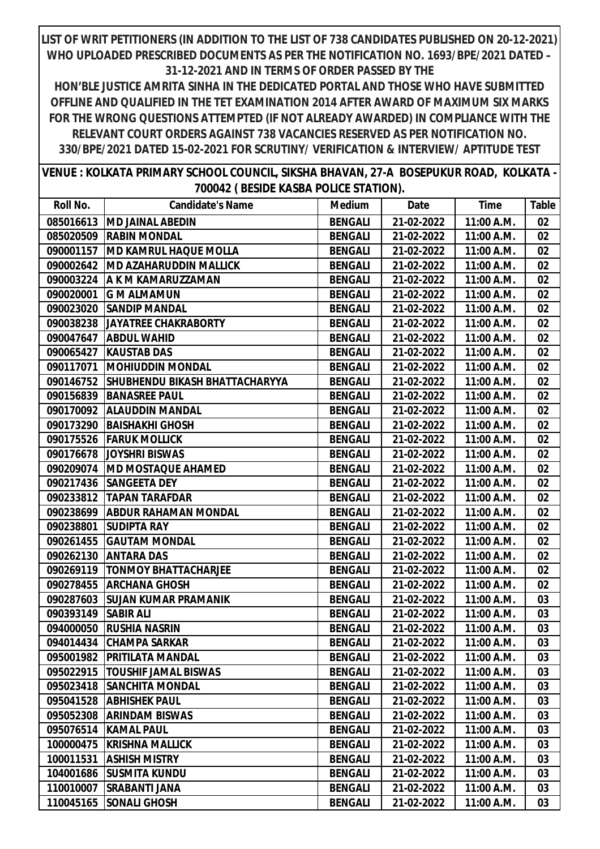| VENUE : KOLKATA PRIMARY SCHOOL COUNCIL, SIKSHA BHAVAN, 27-A BOSEPUKUR ROAD, KOLKATA - |                                       |  |
|---------------------------------------------------------------------------------------|---------------------------------------|--|
|                                                                                       | 700042 (BESIDE KASBA POLICE STATION). |  |

| Roll No.            | <b>Candidate's Name</b>                  | <b>Medium</b>  | Date       | Time       | Table |
|---------------------|------------------------------------------|----------------|------------|------------|-------|
|                     | 085016613   MD JAINAL ABEDIN             | <b>BENGALI</b> | 21-02-2022 | 11:00 A.M. | 02    |
|                     | 085020509 RABIN MONDAL                   | <b>BENGALI</b> | 21-02-2022 | 11:00 A.M. | 02    |
|                     | 090001157   MD KAMRUL HAQUE MOLLA        | <b>BENGALI</b> | 21-02-2022 | 11:00 A.M. | 02    |
|                     | 090002642   MD AZAHARUDDIN MALLICK       | <b>BENGALI</b> | 21-02-2022 | 11:00 A.M. | 02    |
|                     | 090003224   A K M KAMARUZZAMAN           | <b>BENGALI</b> | 21-02-2022 | 11:00 A.M. | 02    |
|                     | 090020001 G M ALMAMUN                    | <b>BENGALI</b> | 21-02-2022 | 11:00 A.M. | 02    |
|                     | 090023020 SANDIP MANDAL                  | <b>BENGALI</b> | 21-02-2022 | 11:00 A.M. | 02    |
|                     | 090038238 JAYATREE CHAKRABORTY           | <b>BENGALI</b> | 21-02-2022 | 11:00 A.M. | 02    |
|                     | 090047647   ABDUL WAHID                  | <b>BENGALI</b> | 21-02-2022 | 11:00 A.M. | 02    |
| 090065427           | <b>KAUSTAB DAS</b>                       | <b>BENGALI</b> | 21-02-2022 | 11:00 A.M. | 02    |
|                     | 090117071   MOHIUDDIN MONDAL             | <b>BENGALI</b> | 21-02-2022 | 11:00 A.M. | 02    |
|                     | 090146752 SHUBHENDU BIKASH BHATTACHARYYA | <b>BENGALI</b> | 21-02-2022 | 11:00 A.M. | 02    |
|                     | 090156839 BANASREE PAUL                  | <b>BENGALI</b> | 21-02-2022 | 11:00 A.M. | 02    |
|                     | 090170092   ALAUDDIN MANDAL              | <b>BENGALI</b> | 21-02-2022 | 11:00 A.M. | 02    |
| 090173290           | BAISHAKHI GHOSH                          | <b>BENGALI</b> | 21-02-2022 | 11:00 A.M. | 02    |
|                     | 090175526 FARUK MOLLICK                  | <b>BENGALI</b> | 21-02-2022 | 11:00 A.M. | 02    |
|                     | 090176678 JOYSHRI BISWAS                 | <b>BENGALI</b> | 21-02-2022 | 11:00 A.M. | 02    |
|                     | 090209074   MD MOSTAQUE AHAMED           | <b>BENGALI</b> | 21-02-2022 | 11:00 A.M. | 02    |
| 090217436           | <b>SANGEETA DEY</b>                      | <b>BENGALI</b> | 21-02-2022 | 11:00 A.M. | 02    |
| 090233812           | <b>TAPAN TARAFDAR</b>                    | <b>BENGALI</b> | 21-02-2022 | 11:00 A.M. | 02    |
|                     | 090238699   ABDUR RAHAMAN MONDAL         | <b>BENGALI</b> | 21-02-2022 | 11:00 A.M. | 02    |
| 090238801           | <b>SUDIPTA RAY</b>                       | <b>BENGALI</b> | 21-02-2022 | 11:00 A.M. | 02    |
| 090261455           | <b>GAUTAM MONDAL</b>                     | <b>BENGALI</b> | 21-02-2022 | 11:00 A.M. | 02    |
| 090262130           | <b>ANTARA DAS</b>                        | <b>BENGALI</b> | 21-02-2022 | 11:00 A.M. | 02    |
| 090269119           | <b>TONMOY BHATTACHARJEE</b>              | <b>BENGALI</b> | 21-02-2022 | 11:00 A.M. | 02    |
|                     | 090278455 ARCHANA GHOSH                  | <b>BENGALI</b> | 21-02-2022 | 11:00 A.M. | 02    |
|                     | 090287603 SUJAN KUMAR PRAMANIK           | <b>BENGALI</b> | 21-02-2022 | 11:00 A.M. | 03    |
| 090393149 SABIR ALI |                                          | <b>BENGALI</b> | 21-02-2022 | 11:00 A.M. | 03    |
| 094000050           | <b>RUSHIA NASRIN</b>                     | <b>BENGALI</b> | 21-02-2022 | 11:00 A.M. | 03    |
|                     | 094014434 CHAMPA SARKAR                  | <b>BENGALI</b> | 21-02-2022 | 11:00 A.M. | 03    |
|                     | 095001982   PRITILATA MANDAL             | <b>BENGALI</b> | 21-02-2022 | 11:00 A.M. | 03    |
| 095022915           | <b>TOUSHIF JAMAL BISWAS</b>              | <b>BENGALI</b> | 21-02-2022 | 11:00 A.M. | 03    |
| 095023418           | <b>SANCHITA MONDAL</b>                   | <b>BENGALI</b> | 21-02-2022 | 11:00 A.M. | 03    |
| 095041528           | <b>ABHISHEK PAUL</b>                     | <b>BENGALI</b> | 21-02-2022 | 11:00 A.M. | 03    |
| 095052308           | <b>ARINDAM BISWAS</b>                    | <b>BENGALI</b> | 21-02-2022 | 11:00 A.M. | 03    |
| 095076514           | <b>KAMAL PAUL</b>                        | <b>BENGALI</b> | 21-02-2022 | 11:00 A.M. | 03    |
| 100000475           | <b>KRISHNA MALLICK</b>                   | <b>BENGALI</b> | 21-02-2022 | 11:00 A.M. | 03    |
| 100011531           | <b>ASHISH MISTRY</b>                     | <b>BENGALI</b> | 21-02-2022 | 11:00 A.M. | 03    |
| 104001686           | <b>SUSMITA KUNDU</b>                     | <b>BENGALI</b> | 21-02-2022 | 11:00 A.M. | 03    |
| 110010007           | <b>SRABANTI JANA</b>                     | <b>BENGALI</b> | 21-02-2022 | 11:00 A.M. | 03    |
| 110045165           | <b>SONALI GHOSH</b>                      | <b>BENGALI</b> | 21-02-2022 | 11:00 A.M. | 03    |
|                     |                                          |                |            |            |       |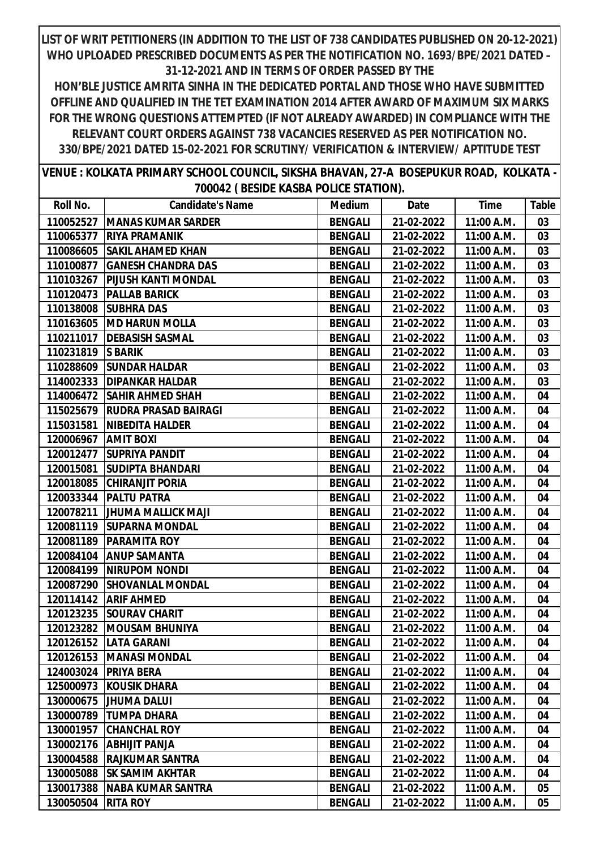| VENUE : KOLKATA PRIMARY SCHOOL COUNCIL, SIKSHA BHAVAN, 27-A BOSEPUKUR ROAD, KOLKATA - |  |  |
|---------------------------------------------------------------------------------------|--|--|
| 700042 (BESIDE KASBA POLICE STATION).                                                 |  |  |

| Roll No.  | <b>Candidate's Name</b>     | <b>Medium</b>  | Date       | <b>Time</b> | Table |
|-----------|-----------------------------|----------------|------------|-------------|-------|
| 110052527 | <b>MANAS KUMAR SARDER</b>   | <b>BENGALI</b> | 21-02-2022 | 11:00 A.M.  | 03    |
| 110065377 | <b>RIYA PRAMANIK</b>        | <b>BENGALI</b> | 21-02-2022 | 11:00 A.M.  | 03    |
| 110086605 | <b>SAKIL AHAMED KHAN</b>    | <b>BENGALI</b> | 21-02-2022 | 11:00 A.M.  | 03    |
| 110100877 | <b>GANESH CHANDRA DAS</b>   | <b>BENGALI</b> | 21-02-2022 | 11:00 A.M.  | 03    |
| 110103267 | PIJUSH KANTI MONDAL         | <b>BENGALI</b> | 21-02-2022 | 11:00 A.M.  | 03    |
| 110120473 | <b>PALLAB BARICK</b>        | <b>BENGALI</b> | 21-02-2022 | 11:00 A.M.  | 03    |
| 110138008 | <b>SUBHRA DAS</b>           | <b>BENGALI</b> | 21-02-2022 | 11:00 A.M.  | 03    |
| 110163605 | <b>MD HARUN MOLLA</b>       | <b>BENGALI</b> | 21-02-2022 | 11:00 A.M.  | 03    |
| 110211017 | <b>DEBASISH SASMAL</b>      | <b>BENGALI</b> | 21-02-2022 | 11:00 A.M.  | 03    |
| 110231819 | <b>S BARIK</b>              | <b>BENGALI</b> | 21-02-2022 | 11:00 A.M.  | 03    |
| 110288609 | <b>SUNDAR HALDAR</b>        | <b>BENGALI</b> | 21-02-2022 | 11:00 A.M.  | 03    |
| 114002333 | <b>DIPANKAR HALDAR</b>      | <b>BENGALI</b> | 21-02-2022 | 11:00 A.M.  | 03    |
| 114006472 | <b>SAHIR AHMED SHAH</b>     | <b>BENGALI</b> | 21-02-2022 | 11:00 A.M.  | 04    |
| 115025679 | <b>RUDRA PRASAD BAIRAGI</b> | <b>BENGALI</b> | 21-02-2022 | 11:00 A.M.  | 04    |
| 115031581 | <b>NIBEDITA HALDER</b>      | <b>BENGALI</b> | 21-02-2022 | 11:00 A.M.  | 04    |
| 120006967 | <b>AMIT BOXI</b>            | <b>BENGALI</b> | 21-02-2022 | 11:00 A.M.  | 04    |
| 120012477 | <b>SUPRIYA PANDIT</b>       | <b>BENGALI</b> | 21-02-2022 | 11:00 A.M.  | 04    |
| 120015081 | <b>SUDIPTA BHANDARI</b>     | <b>BENGALI</b> | 21-02-2022 | 11:00 A.M.  | 04    |
| 120018085 | <b>CHIRANJIT PORIA</b>      | <b>BENGALI</b> | 21-02-2022 | 11:00 A.M.  | 04    |
| 120033344 | <b>PALTU PATRA</b>          | <b>BENGALI</b> | 21-02-2022 | 11:00 A.M.  | 04    |
| 120078211 | <b>JHUMA MALLICK MAJI</b>   | <b>BENGALI</b> | 21-02-2022 | 11:00 A.M.  | 04    |
| 120081119 | <b>SUPARNA MONDAL</b>       | <b>BENGALI</b> | 21-02-2022 | 11:00 A.M.  | 04    |
| 120081189 | <b>PARAMITA ROY</b>         | <b>BENGALI</b> | 21-02-2022 | 11:00 A.M.  | 04    |
| 120084104 | <b>ANUP SAMANTA</b>         | <b>BENGALI</b> | 21-02-2022 | 11:00 A.M.  | 04    |
| 120084199 | <b>NIRUPOM NONDI</b>        | <b>BENGALI</b> | 21-02-2022 | 11:00 A.M.  | 04    |
| 120087290 | <b>SHOVANLAL MONDAL</b>     | <b>BENGALI</b> | 21-02-2022 | 11:00 A.M.  | 04    |
| 120114142 | <b>ARIF AHMED</b>           | <b>BENGALI</b> | 21-02-2022 | 11:00 A.M.  | 04    |
| 120123235 | <b>SOURAV CHARIT</b>        | <b>BENGALI</b> | 21-02-2022 | 11:00 A.M.  | 04    |
| 120123282 | <b>MOUSAM BHUNIYA</b>       | <b>BENGALI</b> | 21-02-2022 | 11:00 A.M.  | 04    |
|           | 120126152   LATA GARANI     | <b>BENGALI</b> | 21-02-2022 | 11:00 A.M.  | 04    |
|           | 120126153   MANASI MONDAL   | <b>BENGALI</b> | 21-02-2022 | 11:00 A.M.  | 04    |
| 124003024 | <b>PRIYA BERA</b>           | <b>BENGALI</b> | 21-02-2022 | 11:00 A.M.  | 04    |
| 125000973 | <b>KOUSIK DHARA</b>         | <b>BENGALI</b> | 21-02-2022 | 11:00 A.M.  | 04    |
| 130000675 | <b>JHUMA DALUI</b>          | <b>BENGALI</b> | 21-02-2022 | 11:00 A.M.  | 04    |
| 130000789 | <b>TUMPA DHARA</b>          | <b>BENGALI</b> | 21-02-2022 | 11:00 A.M.  | 04    |
| 130001957 | <b>CHANCHAL ROY</b>         | <b>BENGALI</b> | 21-02-2022 | 11:00 A.M.  | 04    |
| 130002176 | <b>ABHIJIT PANJA</b>        | <b>BENGALI</b> | 21-02-2022 | 11:00 A.M.  | 04    |
| 130004588 | <b>RAJKUMAR SANTRA</b>      | <b>BENGALI</b> | 21-02-2022 | 11:00 A.M.  | 04    |
| 130005088 | <b>SK SAMIM AKHTAR</b>      | <b>BENGALI</b> | 21-02-2022 | 11:00 A.M.  | 04    |
| 130017388 | <b>NABA KUMAR SANTRA</b>    | <b>BENGALI</b> | 21-02-2022 | 11:00 A.M.  | 05    |
| 130050504 | <b>RITA ROY</b>             | <b>BENGALI</b> | 21-02-2022 | 11:00 A.M.  | 05    |
|           |                             |                |            |             |       |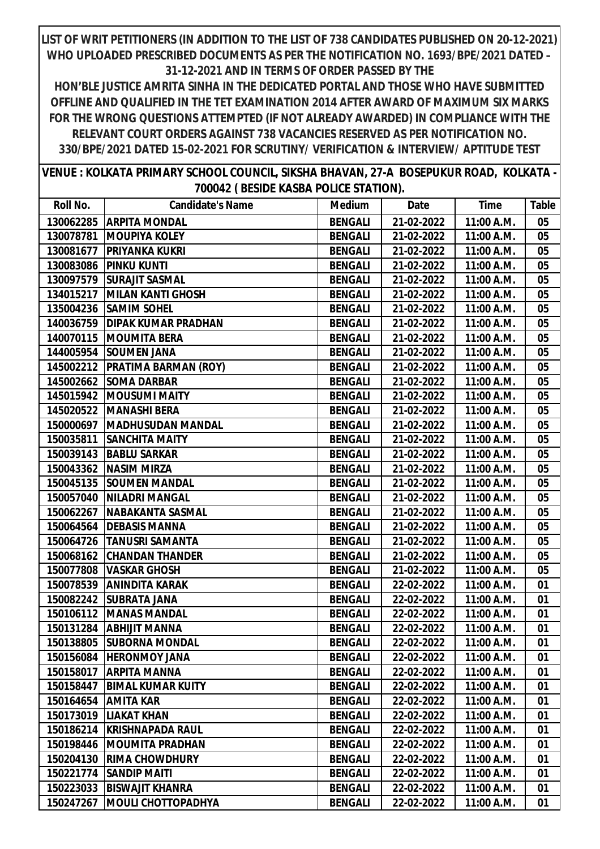| VENUE : KOLKATA PRIMARY SCHOOL COUNCIL, SIKSHA BHAVAN, 27-A BOSEPUKUR ROAD, KOLKATA - |  |  |
|---------------------------------------------------------------------------------------|--|--|
| 700042 (BESIDE KASBA POLICE STATION).                                                 |  |  |

| Roll No.  | <b>Candidate's Name</b>       | <b>Medium</b>  | Date       | <b>Time</b> | Table |
|-----------|-------------------------------|----------------|------------|-------------|-------|
| 130062285 | <b>ARPITA MONDAL</b>          | <b>BENGALI</b> | 21-02-2022 | 11:00 A.M.  | 05    |
| 130078781 | <b>MOUPIYA KOLEY</b>          | <b>BENGALI</b> | 21-02-2022 | 11:00 A.M.  | 05    |
| 130081677 | <b>PRIYANKA KUKRI</b>         | <b>BENGALI</b> | 21-02-2022 | 11:00 A.M.  | 05    |
| 130083086 | <b>PINKU KUNTI</b>            | <b>BENGALI</b> | 21-02-2022 | 11:00 A.M.  | 05    |
| 130097579 | <b>SURAJIT SASMAL</b>         | <b>BENGALI</b> | 21-02-2022 | 11:00 A.M.  | 05    |
| 134015217 | <b>MILAN KANTI GHOSH</b>      | <b>BENGALI</b> | 21-02-2022 | 11:00 A.M.  | 05    |
| 135004236 | <b>SAMIM SOHEL</b>            | <b>BENGALI</b> | 21-02-2022 | 11:00 A.M.  | 05    |
| 140036759 | <b>DIPAK KUMAR PRADHAN</b>    | <b>BENGALI</b> | 21-02-2022 | 11:00 A.M.  | 05    |
|           | 140070115  MOUMITA BERA       | <b>BENGALI</b> | 21-02-2022 | 11:00 A.M.  | 05    |
|           | 144005954 SOUMEN JANA         | <b>BENGALI</b> | 21-02-2022 | 11:00 A.M.  | 05    |
| 145002212 | <b>PRATIMA BARMAN (ROY)</b>   | <b>BENGALI</b> | 21-02-2022 | 11:00 A.M.  | 05    |
|           | 145002662 SOMA DARBAR         | <b>BENGALI</b> | 21-02-2022 | 11:00 A.M.  | 05    |
| 145015942 | <b>MOUSUMI MAITY</b>          | <b>BENGALI</b> | 21-02-2022 | 11:00 A.M.  | 05    |
|           | 145020522 MANASHI BERA        | <b>BENGALI</b> | 21-02-2022 | 11:00 A.M.  | 05    |
|           | 150000697   MADHUSUDAN MANDAL | <b>BENGALI</b> | 21-02-2022 | 11:00 A.M.  | 05    |
| 150035811 | <b>SANCHITA MAITY</b>         | <b>BENGALI</b> | 21-02-2022 | 11:00 A.M.  | 05    |
| 150039143 | <b>BABLU SARKAR</b>           | <b>BENGALI</b> | 21-02-2022 | 11:00 A.M.  | 05    |
| 150043362 | <b>NASIM MIRZA</b>            | <b>BENGALI</b> | 21-02-2022 | 11:00 A.M.  | 05    |
|           | 150045135 SOUMEN MANDAL       | <b>BENGALI</b> | 21-02-2022 | 11:00 A.M.  | 05    |
| 150057040 | <b>NILADRI MANGAL</b>         | <b>BENGALI</b> | 21-02-2022 | 11:00 A.M.  | 05    |
| 150062267 | NABAKANTA SASMAL              | <b>BENGALI</b> | 21-02-2022 | 11:00 A.M.  | 05    |
|           | 150064564   DEBASIS MANNA     | <b>BENGALI</b> | 21-02-2022 | 11:00 A.M.  | 05    |
| 150064726 | <b>TANUSRI SAMANTA</b>        | <b>BENGALI</b> | 21-02-2022 | 11:00 A.M.  | 05    |
| 150068162 | <b>CHANDAN THANDER</b>        | <b>BENGALI</b> | 21-02-2022 | 11:00 A.M.  | 05    |
| 150077808 | <b>VASKAR GHOSH</b>           | <b>BENGALI</b> | 21-02-2022 | 11:00 A.M.  | 05    |
| 150078539 | <b>ANINDITA KARAK</b>         | <b>BENGALI</b> | 22-02-2022 | 11:00 A.M.  | 01    |
| 150082242 | <b>SUBRATA JANA</b>           | <b>BENGALI</b> | 22-02-2022 | 11:00 A.M.  | 01    |
| 150106112 | <b>MANAS MANDAL</b>           | <b>BENGALI</b> | 22-02-2022 | 11:00 A.M.  | 01    |
|           | 150131284 ABHIJIT MANNA       | <b>BENGALI</b> | 22-02-2022 | 11:00 A.M.  | 01    |
|           | 150138805 SUBORNA MONDAL      | <b>BENGALI</b> | 22-02-2022 | 11:00 A.M.  | 01    |
|           | 150156084  HERONMOY JANA      | <b>BENGALI</b> | 22-02-2022 | 11:00 A.M.  | 01    |
| 150158017 | <b>ARPITA MANNA</b>           | <b>BENGALI</b> | 22-02-2022 | 11:00 A.M.  | 01    |
| 150158447 | <b>BIMAL KUMAR KUITY</b>      | <b>BENGALI</b> | 22-02-2022 | 11:00 A.M.  | 01    |
| 150164654 | <b>AMITA KAR</b>              | <b>BENGALI</b> | 22-02-2022 | 11:00 A.M.  | 01    |
| 150173019 | <b>LIAKAT KHAN</b>            | <b>BENGALI</b> | 22-02-2022 | 11:00 A.M.  | 01    |
| 150186214 | KRISHNAPADA RAUL              | <b>BENGALI</b> | 22-02-2022 | 11:00 A.M.  | 01    |
| 150198446 | <b>MOUMITA PRADHAN</b>        | <b>BENGALI</b> | 22-02-2022 | 11:00 A.M.  | 01    |
| 150204130 | <b>RIMA CHOWDHURY</b>         | <b>BENGALI</b> | 22-02-2022 | 11:00 A.M.  | 01    |
| 150221774 | <b>SANDIP MAITI</b>           | <b>BENGALI</b> | 22-02-2022 | 11:00 A.M.  | 01    |
| 150223033 | <b>BISWAJIT KHANRA</b>        | <b>BENGALI</b> | 22-02-2022 | 11:00 A.M.  | 01    |
| 150247267 | <b> MOULI CHOTTOPADHYA</b>    | <b>BENGALI</b> | 22-02-2022 | 11:00 A.M.  | 01    |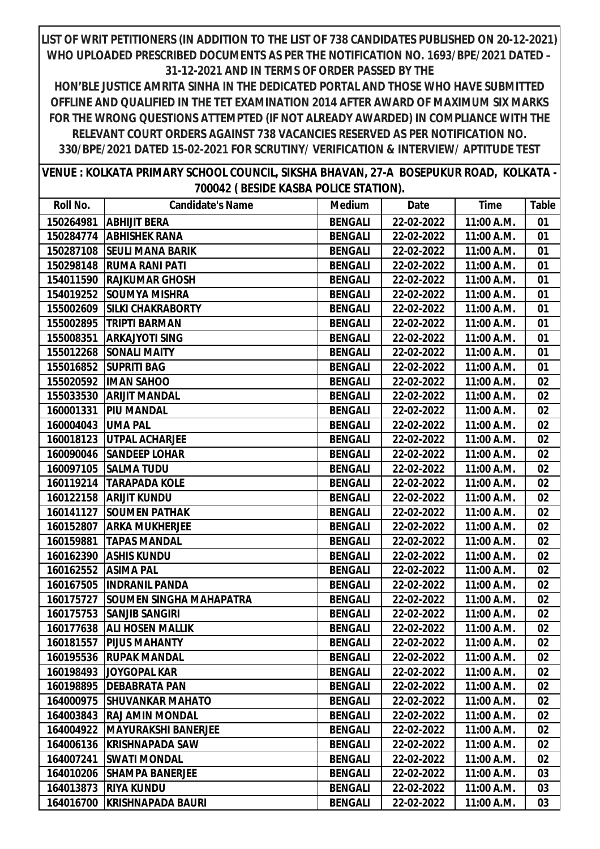**HON'BLE JUSTICE AMRITA SINHA IN THE DEDICATED PORTAL AND THOSE WHO HAVE SUBMITTED OFFLINE AND QUALIFIED IN THE TET EXAMINATION 2014 AFTER AWARD OF MAXIMUM SIX MARKS FOR THE WRONG QUESTIONS ATTEMPTED (IF NOT ALREADY AWARDED) IN COMPLIANCE WITH THE RELEVANT COURT ORDERS AGAINST 738 VACANCIES RESERVED AS PER NOTIFICATION NO. 330/BPE/2021 DATED 15-02-2021 FOR SCRUTINY/ VERIFICATION & INTERVIEW/ APTITUDE TEST**

**VENUE : KOLKATA PRIMARY SCHOOL COUNCIL, SIKSHA BHAVAN, 27-A BOSEPUKUR ROAD, KOLKATA - 700042 ( BESIDE KASBA POLICE STATION).**

| Roll No.  | <b>Candidate's Name</b>        | <b>Medium</b>  | Date       | Time       | Table |
|-----------|--------------------------------|----------------|------------|------------|-------|
| 150264981 | <b>ABHIJIT BERA</b>            | <b>BENGALI</b> | 22-02-2022 | 11:00 A.M. | 01    |
|           | 150284774   ABHISHEK RANA      | <b>BENGALI</b> | 22-02-2022 | 11:00 A.M. | 01    |
| 150287108 | <b>SEULI MANA BARIK</b>        | <b>BENGALI</b> | 22-02-2022 | 11:00 A.M. | 01    |
| 150298148 | <b>RUMA RANI PATI</b>          | <b>BENGALI</b> | 22-02-2022 | 11:00 A.M. | 01    |
| 154011590 | <b>RAJKUMAR GHOSH</b>          | <b>BENGALI</b> | 22-02-2022 | 11:00 A.M. | 01    |
| 154019252 | <b>SOUMYA MISHRA</b>           | <b>BENGALI</b> | 22-02-2022 | 11:00 A.M. | 01    |
| 155002609 | <b>SILKI CHAKRABORTY</b>       | <b>BENGALI</b> | 22-02-2022 | 11:00 A.M. | 01    |
| 155002895 | <b>TRIPTI BARMAN</b>           | <b>BENGALI</b> | 22-02-2022 | 11:00 A.M. | 01    |
| 155008351 | <b>ARKAJYOTI SING</b>          | <b>BENGALI</b> | 22-02-2022 | 11:00 A.M. | 01    |
| 155012268 | <b>SONALI MAITY</b>            | <b>BENGALI</b> | 22-02-2022 | 11:00 A.M. | 01    |
| 155016852 | <b>SUPRITI BAG</b>             | <b>BENGALI</b> | 22-02-2022 | 11:00 A.M. | 01    |
| 155020592 | <b>IMAN SAHOO</b>              | <b>BENGALI</b> | 22-02-2022 | 11:00 A.M. | 02    |
| 155033530 | <b>ARIJIT MANDAL</b>           | <b>BENGALI</b> | 22-02-2022 | 11:00 A.M. | 02    |
| 160001331 | <b>PIU MANDAL</b>              | <b>BENGALI</b> | 22-02-2022 | 11:00 A.M. | 02    |
| 160004043 | <b>UMA PAL</b>                 | <b>BENGALI</b> | 22-02-2022 | 11:00 A.M. | 02    |
| 160018123 | <b>UTPAL ACHARJEE</b>          | <b>BENGALI</b> | 22-02-2022 | 11:00 A.M. | 02    |
| 160090046 | <b>SANDEEP LOHAR</b>           | <b>BENGALI</b> | 22-02-2022 | 11:00 A.M. | 02    |
| 160097105 | <b>SALMA TUDU</b>              | <b>BENGALI</b> | 22-02-2022 | 11:00 A.M. | 02    |
| 160119214 | <b>TARAPADA KOLE</b>           | <b>BENGALI</b> | 22-02-2022 | 11:00 A.M. | 02    |
| 160122158 | <b>ARIJIT KUNDU</b>            | <b>BENGALI</b> | 22-02-2022 | 11:00 A.M. | 02    |
| 160141127 | <b>SOUMEN PATHAK</b>           | <b>BENGALI</b> | 22-02-2022 | 11:00 A.M. | 02    |
| 160152807 | <b>ARKA MUKHERJEE</b>          | <b>BENGALI</b> | 22-02-2022 | 11:00 A.M. | 02    |
| 160159881 | <b>TAPAS MANDAL</b>            | <b>BENGALI</b> | 22-02-2022 | 11:00 A.M. | 02    |
| 160162390 | <b>ASHIS KUNDU</b>             | <b>BENGALI</b> | 22-02-2022 | 11:00 A.M. | 02    |
| 160162552 | <b>ASIMA PAL</b>               | <b>BENGALI</b> | 22-02-2022 | 11:00 A.M. | 02    |
| 160167505 | <b>INDRANIL PANDA</b>          | <b>BENGALI</b> | 22-02-2022 | 11:00 A.M. | 02    |
| 160175727 | <b>SOUMEN SINGHA MAHAPATRA</b> | <b>BENGALI</b> | 22-02-2022 | 11:00 A.M. | 02    |
| 160175753 | <b>SANJIB SANGIRI</b>          | <b>BENGALI</b> | 22-02-2022 | 11:00 A.M. | 02    |
| 160177638 | <b>ALI HOSEN MALLIK</b>        | <b>BENGALI</b> | 22-02-2022 | 11:00 A.M. | 02    |
|           | 160181557   PIJUS MAHANTY      | <b>BENGALI</b> | 22-02-2022 | 11:00 A.M. | 02    |
|           | 160195536 RUPAK MANDAL         | <b>BENGALI</b> | 22-02-2022 | 11:00 A.M. | 02    |
| 160198493 | <b>JOYGOPAL KAR</b>            | <b>BENGALI</b> | 22-02-2022 | 11:00 A.M. | 02    |
| 160198895 | <b>DEBABRATA PAN</b>           | <b>BENGALI</b> | 22-02-2022 | 11:00 A.M. | 02    |
| 164000975 | <b>SHUVANKAR MAHATO</b>        | <b>BENGALI</b> | 22-02-2022 | 11:00 A.M. | 02    |
| 164003843 | <b>RAJ AMIN MONDAL</b>         | <b>BENGALI</b> | 22-02-2022 | 11:00 A.M. | 02    |
| 164004922 | <b>MAYURAKSHI BANERJEE</b>     | <b>BENGALI</b> | 22-02-2022 | 11:00 A.M. | 02    |
| 164006136 | KRISHNAPADA SAW                | <b>BENGALI</b> | 22-02-2022 | 11:00 A.M. | 02    |
| 164007241 | <b>SWATI MONDAL</b>            | <b>BENGALI</b> | 22-02-2022 | 11:00 A.M. | 02    |
| 164010206 | <b>SHAMPA BANERJEE</b>         | <b>BENGALI</b> | 22-02-2022 | 11:00 A.M. | 03    |
| 164013873 | <b>RIYA KUNDU</b>              | <b>BENGALI</b> | 22-02-2022 | 11:00 A.M. | 03    |
| 164016700 | <b>KRISHNAPADA BAURI</b>       | <b>BENGALI</b> | 22-02-2022 | 11:00 A.M. | 03    |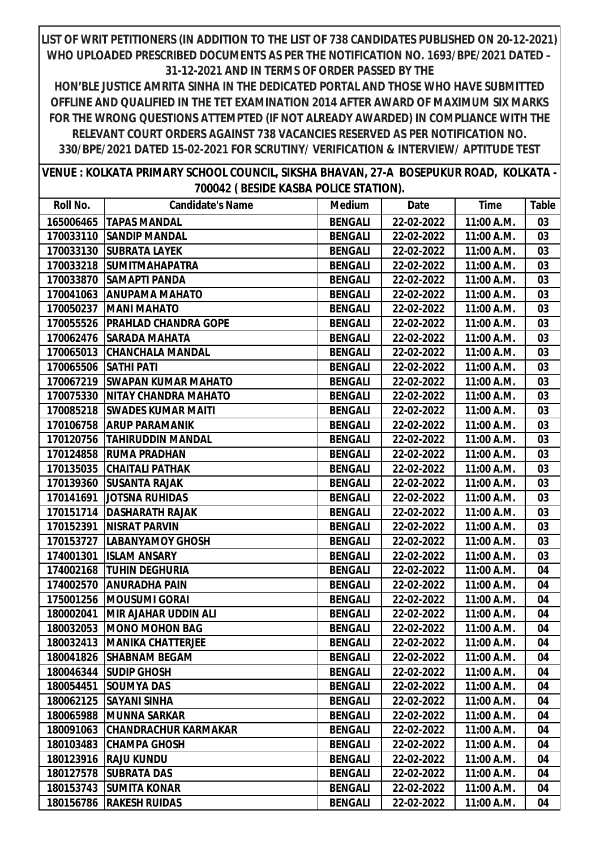| VENUE : KOLKATA PRIMARY SCHOOL COUNCIL, SIKSHA BHAVAN, 27-A BOSEPUKUR ROAD, KOLKATA - |  |  |
|---------------------------------------------------------------------------------------|--|--|
| 700042 (BESIDE KASBA POLICE STATION).                                                 |  |  |

| Roll No.  | <b>Candidate's Name</b>       | <b>Medium</b>  | Date       | <b>Time</b> | Table |
|-----------|-------------------------------|----------------|------------|-------------|-------|
| 165006465 | <b>TAPAS MANDAL</b>           | <b>BENGALI</b> | 22-02-2022 | 11:00 A.M.  | 03    |
| 170033110 | <b>SANDIP MANDAL</b>          | <b>BENGALI</b> | 22-02-2022 | 11:00 A.M.  | 03    |
| 170033130 | <b>SUBRATA LAYEK</b>          | <b>BENGALI</b> | 22-02-2022 | 11:00 A.M.  | 03    |
| 170033218 | <b>SUMITMAHAPATRA</b>         | <b>BENGALI</b> | 22-02-2022 | 11:00 A.M.  | 03    |
| 170033870 | <b>SAMAPTI PANDA</b>          | <b>BENGALI</b> | 22-02-2022 | 11:00 A.M.  | 03    |
| 170041063 | <b>ANUPAMA MAHATO</b>         | <b>BENGALI</b> | 22-02-2022 | 11:00 A.M.  | 03    |
| 170050237 | <b>MANI MAHATO</b>            | <b>BENGALI</b> | 22-02-2022 | 11:00 A.M.  | 03    |
| 170055526 | PRAHLAD CHANDRA GOPE          | <b>BENGALI</b> | 22-02-2022 | 11:00 A.M.  | 03    |
| 170062476 | <b>SARADA MAHATA</b>          | <b>BENGALI</b> | 22-02-2022 | 11:00 A.M.  | 03    |
| 170065013 | <b>CHANCHALA MANDAL</b>       | <b>BENGALI</b> | 22-02-2022 | 11:00 A.M.  | 03    |
| 170065506 | <b>SATHI PATI</b>             | <b>BENGALI</b> | 22-02-2022 | 11:00 A.M.  | 03    |
| 170067219 | <b>ISWAPAN KUMAR MAHATO</b>   | <b>BENGALI</b> | 22-02-2022 | 11:00 A.M.  | 03    |
| 170075330 | <b>NITAY CHANDRA MAHATO</b>   | <b>BENGALI</b> | 22-02-2022 | 11:00 A.M.  | 03    |
| 170085218 | <b>SWADES KUMAR MAITI</b>     | <b>BENGALI</b> | 22-02-2022 | 11:00 A.M.  | 03    |
| 170106758 | <b>ARUP PARAMANIK</b>         | <b>BENGALI</b> | 22-02-2022 | 11:00 A.M.  | 03    |
| 170120756 | <b>TAHIRUDDIN MANDAL</b>      | <b>BENGALI</b> | 22-02-2022 | 11:00 A.M.  | 03    |
| 170124858 | <b>RUMA PRADHAN</b>           | <b>BENGALI</b> | 22-02-2022 | 11:00 A.M.  | 03    |
| 170135035 | <b>CHAITALI PATHAK</b>        | <b>BENGALI</b> | 22-02-2022 | 11:00 A.M.  | 03    |
| 170139360 | <b>SUSANTA RAJAK</b>          | <b>BENGALI</b> | 22-02-2022 | 11:00 A.M.  | 03    |
| 170141691 | <b>JOTSNA RUHIDAS</b>         | <b>BENGALI</b> | 22-02-2022 | 11:00 A.M.  | 03    |
| 170151714 | <b>DASHARATH RAJAK</b>        | <b>BENGALI</b> | 22-02-2022 | 11:00 A.M.  | 03    |
| 170152391 | <b>NISRAT PARVIN</b>          | <b>BENGALI</b> | 22-02-2022 | 11:00 A.M.  | 03    |
| 170153727 | <b>LABANYAMOY GHOSH</b>       | <b>BENGALI</b> | 22-02-2022 | 11:00 A.M.  | 03    |
| 174001301 | <b>ISLAM ANSARY</b>           | <b>BENGALI</b> | 22-02-2022 | 11:00 A.M.  | 03    |
| 174002168 | <b>TUHIN DEGHURIA</b>         | <b>BENGALI</b> | 22-02-2022 | 11:00 A.M.  | 04    |
| 174002570 | <b>ANURADHA PAIN</b>          | <b>BENGALI</b> | 22-02-2022 | 11:00 A.M.  | 04    |
| 175001256 | <b>IMOUSUMI GORAI</b>         | <b>BENGALI</b> | 22-02-2022 | 11:00 A.M.  | 04    |
| 180002041 | <b>MIR AJAHAR UDDIN ALI</b>   | <b>BENGALI</b> | 22-02-2022 | 11:00 A.M.  | 04    |
| 180032053 | <b>MONO MOHON BAG</b>         | <b>BENGALI</b> | 22-02-2022 | 11:00 A.M.  | 04    |
|           | 180032413   MANIKA CHATTERJEE | <b>BENGALI</b> | 22-02-2022 | 11:00 A.M.  | 04    |
|           | 180041826   SHABNAM BEGAM     | <b>BENGALI</b> | 22-02-2022 | 11:00 A.M.  | 04    |
| 180046344 | <b>SUDIP GHOSH</b>            | <b>BENGALI</b> | 22-02-2022 | 11:00 A.M.  | 04    |
| 180054451 | <b>SOUMYA DAS</b>             | <b>BENGALI</b> | 22-02-2022 | 11:00 A.M.  | 04    |
| 180062125 | <b>SAYANI SINHA</b>           | <b>BENGALI</b> | 22-02-2022 | 11:00 A.M.  | 04    |
| 180065988 | <b>MUNNA SARKAR</b>           | <b>BENGALI</b> | 22-02-2022 | 11:00 A.M.  | 04    |
| 180091063 | <b>CHANDRACHUR KARMAKAR</b>   | <b>BENGALI</b> | 22-02-2022 | 11:00 A.M.  | 04    |
| 180103483 | <b>CHAMPA GHOSH</b>           | <b>BENGALI</b> | 22-02-2022 | 11:00 A.M.  | 04    |
| 180123916 | <b>RAJU KUNDU</b>             | <b>BENGALI</b> | 22-02-2022 | 11:00 A.M.  | 04    |
| 180127578 | <b>SUBRATA DAS</b>            | <b>BENGALI</b> | 22-02-2022 | 11:00 A.M.  | 04    |
| 180153743 | <b>SUMITA KONAR</b>           | <b>BENGALI</b> | 22-02-2022 | 11:00 A.M.  | 04    |
| 180156786 | <b>RAKESH RUIDAS</b>          | <b>BENGALI</b> | 22-02-2022 | 11:00 A.M.  | 04    |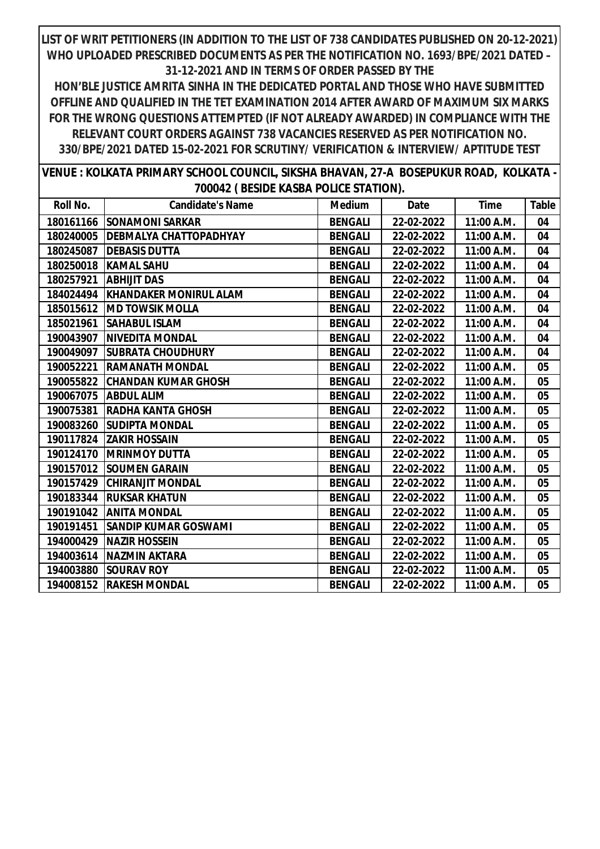| VENUE : KOLKATA PRIMARY SCHOOL COUNCIL, SIKSHA BHAVAN, 27-A BOSEPUKUR ROAD, KOLKATA - |  |  |
|---------------------------------------------------------------------------------------|--|--|
| 700042 (BESIDE KASBA POLICE STATION).                                                 |  |  |

| Roll No.  | <b>Candidate's Name</b>            | <b>Medium</b>  | Date       | Time       | Table |
|-----------|------------------------------------|----------------|------------|------------|-------|
|           | 180161166 SONAMONI SARKAR          | <b>BENGALI</b> | 22-02-2022 | 11:00 A.M. | 04    |
| 180240005 | <b>IDEBMALYA CHATTOPADHYAY</b>     | <b>BENGALI</b> | 22-02-2022 | 11:00 A.M. | 04    |
| 180245087 | <b>DEBASIS DUTTA</b>               | <b>BENGALI</b> | 22-02-2022 | 11:00 A.M. | 04    |
|           | 180250018   KAMAL SAHU             | <b>BENGALI</b> | 22-02-2022 | 11:00 A.M. | 04    |
| 180257921 | <b>ABHIJIT DAS</b>                 | <b>BENGALI</b> | 22-02-2022 | 11:00 A.M. | 04    |
|           | 184024494   KHANDAKER MONIRUL ALAM | <b>BENGALI</b> | 22-02-2022 | 11:00 A.M. | 04    |
| 185015612 | <b>IMD TOWSIK MOLLA</b>            | <b>BENGALI</b> | 22-02-2022 | 11:00 A.M. | 04    |
| 185021961 | <b>SAHABUL ISLAM</b>               | <b>BENGALI</b> | 22-02-2022 | 11:00 A.M. | 04    |
|           | 190043907   NIVEDITA MONDAL        | <b>BENGALI</b> | 22-02-2022 | 11:00 A.M. | 04    |
| 190049097 | <b>ISUBRATA CHOUDHURY</b>          | <b>BENGALI</b> | 22-02-2022 | 11:00 A.M. | 04    |
| 190052221 | <b>RAMANATH MONDAL</b>             | <b>BENGALI</b> | 22-02-2022 | 11:00 A.M. | 05    |
| 190055822 | <b>CHANDAN KUMAR GHOSH</b>         | <b>BENGALI</b> | 22-02-2022 | 11:00 A.M. | 05    |
| 190067075 | <b>ABDUL ALIM</b>                  | <b>BENGALI</b> | 22-02-2022 | 11:00 A.M. | 05    |
| 190075381 | <b>RADHA KANTA GHOSH</b>           | <b>BENGALI</b> | 22-02-2022 | 11:00 A.M. | 05    |
| 190083260 | <b>SUDIPTA MONDAL</b>              | <b>BENGALI</b> | 22-02-2022 | 11:00 A.M. | 05    |
| 190117824 | <b>ZAKIR HOSSAIN</b>               | <b>BENGALI</b> | 22-02-2022 | 11:00 A.M. | 05    |
| 190124170 | <b>IMRINMOY DUTTA</b>              | <b>BENGALI</b> | 22-02-2022 | 11:00 A.M. | 05    |
| 190157012 | <b>SOUMEN GARAIN</b>               | <b>BENGALI</b> | 22-02-2022 | 11:00 A.M. | 05    |
| 190157429 | <b>CHIRANJIT MONDAL</b>            | <b>BENGALI</b> | 22-02-2022 | 11:00 A.M. | 05    |
| 190183344 | <b>RUKSAR KHATUN</b>               | <b>BENGALI</b> | 22-02-2022 | 11:00 A.M. | 05    |
| 190191042 | <b>ANITA MONDAL</b>                | <b>BENGALI</b> | 22-02-2022 | 11:00 A.M. | 05    |
| 190191451 | <b>SANDIP KUMAR GOSWAMI</b>        | <b>BENGALI</b> | 22-02-2022 | 11:00 A.M. | 05    |
| 194000429 | <b>NAZIR HOSSEIN</b>               | <b>BENGALI</b> | 22-02-2022 | 11:00 A.M. | 05    |
| 194003614 | <b>NAZMIN AKTARA</b>               | <b>BENGALI</b> | 22-02-2022 | 11:00 A.M. | 05    |
| 194003880 | <b>SOURAV ROY</b>                  | <b>BENGALI</b> | 22-02-2022 | 11:00 A.M. | 05    |
|           | 194008152 RAKESH MONDAL            | <b>BENGALI</b> | 22-02-2022 | 11:00 A.M. | 05    |